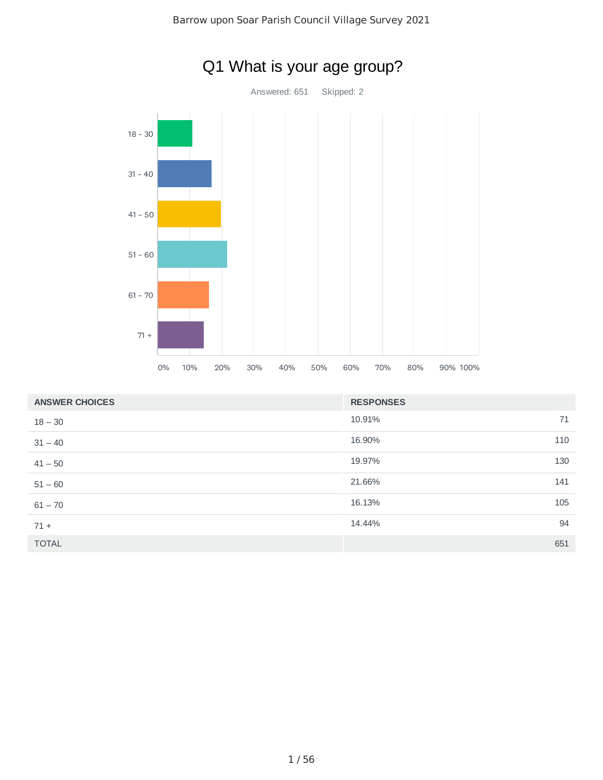

| <b>ANSWER CHOICES</b> | <b>RESPONSES</b> |     |
|-----------------------|------------------|-----|
| $18 - 30$             | 10.91%           | 71  |
| $31 - 40$             | 16.90%           | 110 |
| $41 - 50$             | 19.97%           | 130 |
| $51 - 60$             | 21.66%           | 141 |
| $61 - 70$             | 16.13%           | 105 |
| $71 +$                | 14.44%           | 94  |
| <b>TOTAL</b>          |                  | 651 |

# Q1 What is your age group?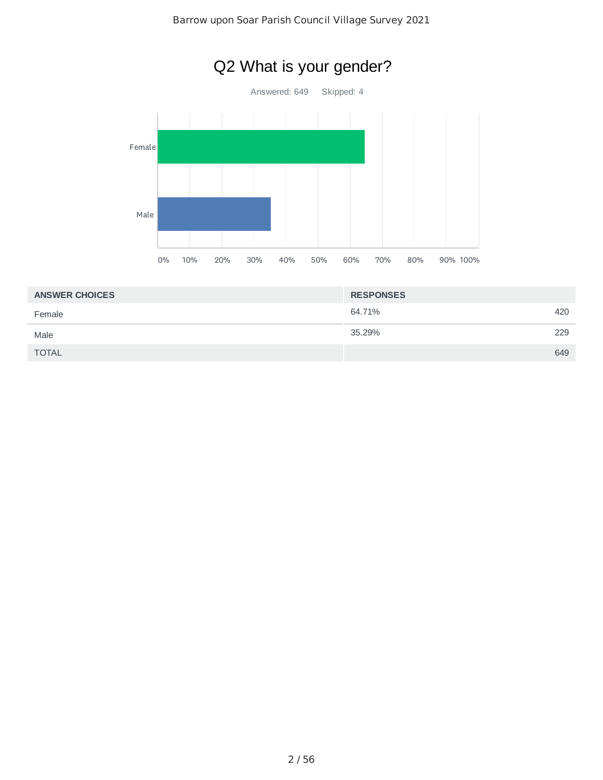

| <b>RESPONSES</b> |     |
|------------------|-----|
| 64.71%           | 420 |
| 35.29%           | 229 |
|                  | 649 |
|                  |     |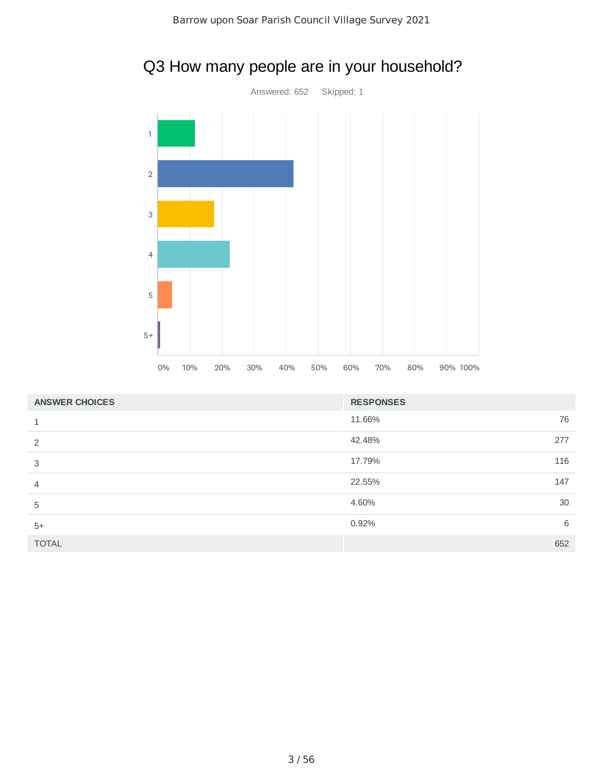

# Q3 How many people are in your household?

| <b>ANSWER CHOICES</b> | <b>RESPONSES</b> |     |
|-----------------------|------------------|-----|
|                       | 11.66%           | 76  |
| っ                     | 42.48%           | 277 |
| 3                     | 17.79%           | 116 |
|                       | 22.55%           | 147 |
| 5                     | 4.60%            | 30  |
| $5+$                  | 0.92%            | 6   |
| <b>TOTAL</b>          |                  | 652 |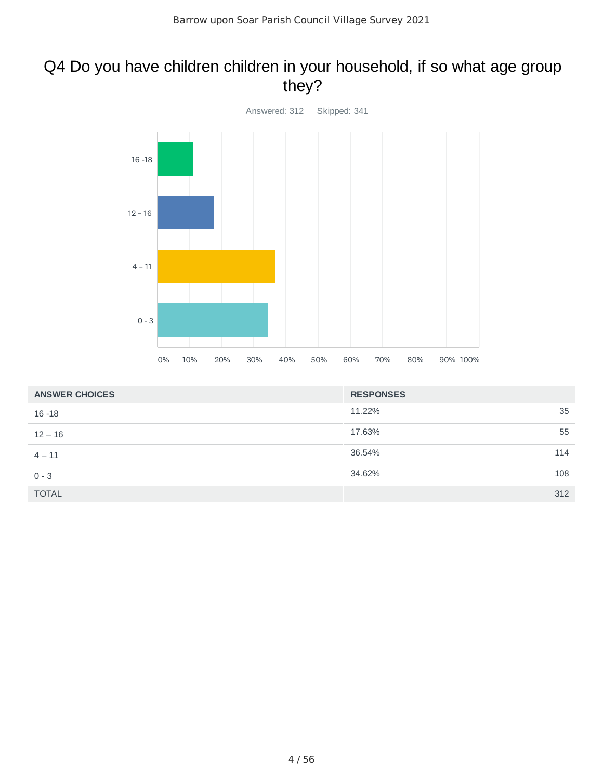# Q4 Do you have children children in your household, if so what age group they?



| <b>ANSWER CHOICES</b> | <b>RESPONSES</b> |
|-----------------------|------------------|
| $16 - 18$             | 35<br>11.22%     |
| $12 - 16$             | 17.63%<br>55     |
| $4 - 11$              | 36.54%<br>114    |
| $0 - 3$               | 34.62%<br>108    |
| <b>TOTAL</b>          | 312              |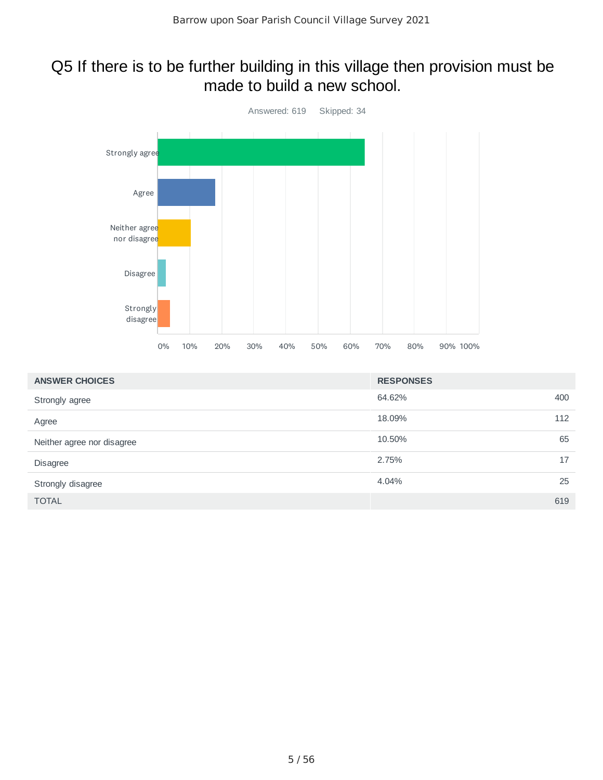### Q5 If there is to be further building in this village then provision must be made to build a new school.



| <b>ANSWER CHOICES</b>      | <b>RESPONSES</b> |    |
|----------------------------|------------------|----|
| Strongly agree             | 64.62%<br>400    |    |
| Agree                      | 18.09%<br>112    |    |
| Neither agree nor disagree | 10.50%           | 65 |
| <b>Disagree</b>            | 2.75%<br>17      |    |
| Strongly disagree          | 4.04%            | 25 |
| <b>TOTAL</b>               | 619              |    |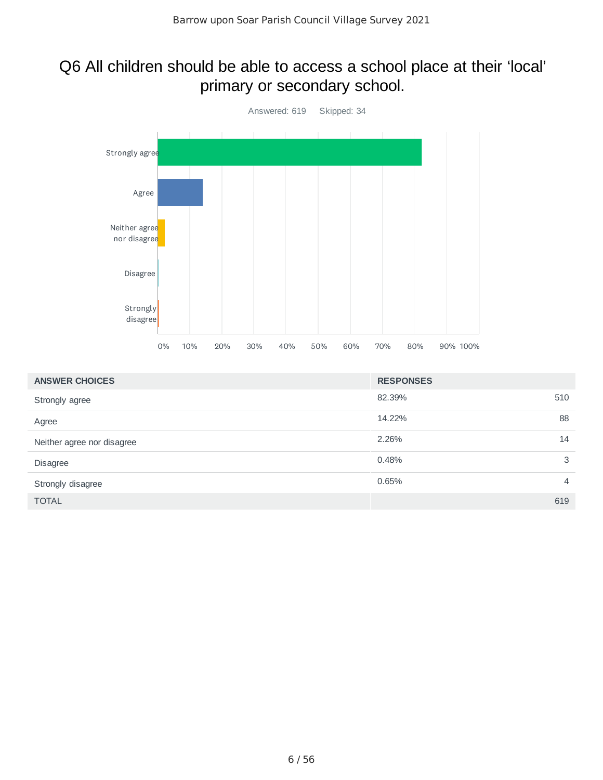### Q6 All children should be able to access a school place at their 'local' primary or secondary school.



| <b>ANSWER CHOICES</b>      | <b>RESPONSES</b> |                |
|----------------------------|------------------|----------------|
| Strongly agree             | 82.39%           | 510            |
| Agree                      | 14.22%           | 88             |
| Neither agree nor disagree | 2.26%            | 14             |
| Disagree                   | 0.48%            | 3              |
| Strongly disagree          | 0.65%            | $\overline{4}$ |
| <b>TOTAL</b>               |                  | 619            |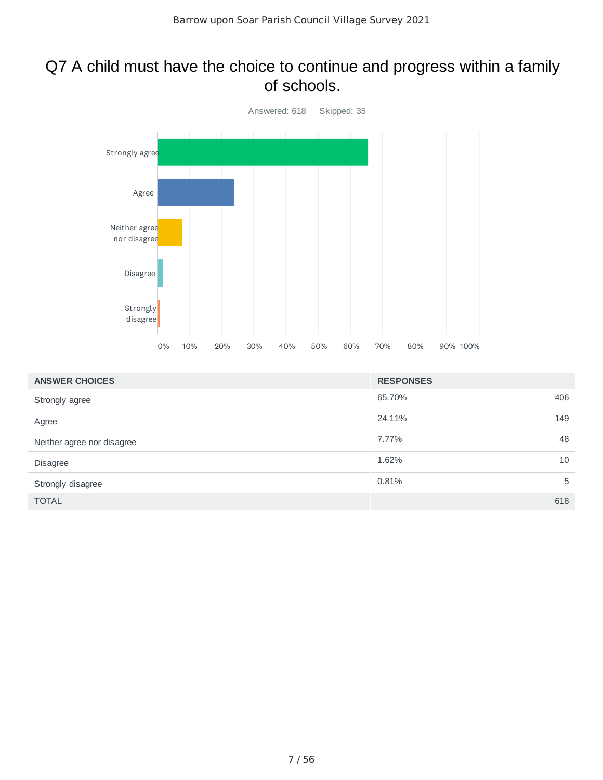#### Q7 A child must have the choice to continue and progress within a family of schools.



| <b>ANSWER CHOICES</b>      | <b>RESPONSES</b> |
|----------------------------|------------------|
| Strongly agree             | 406<br>65.70%    |
| Agree                      | 149<br>24.11%    |
| Neither agree nor disagree | 48<br>7.77%      |
| <b>Disagree</b>            | 10<br>1.62%      |
| Strongly disagree          | 0.81%<br>5       |
| <b>TOTAL</b>               | 618              |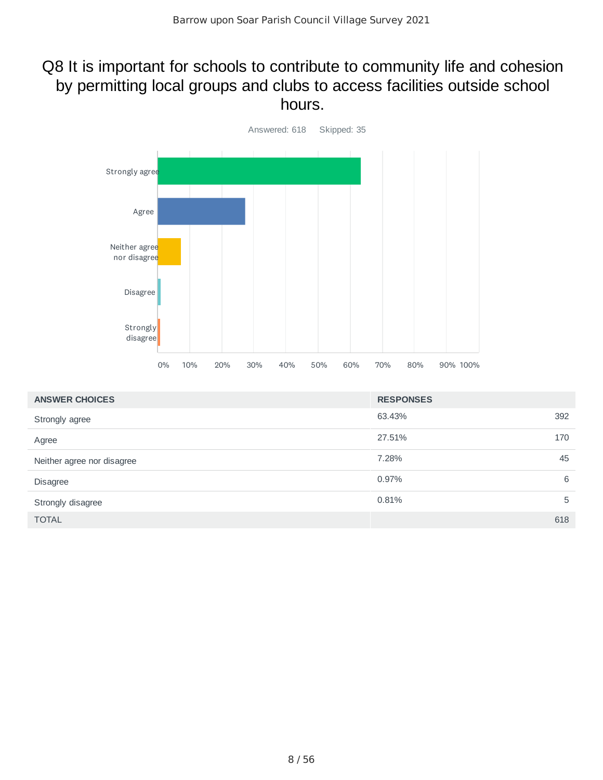### Q8 It is important for schools to contribute to community life and cohesion by permitting local groups and clubs to access facilities outside school hours.



| <b>ANSWER CHOICES</b>      | <b>RESPONSES</b> |
|----------------------------|------------------|
| Strongly agree             | 392<br>63.43%    |
| Agree                      | 27.51%<br>170    |
| Neither agree nor disagree | 45<br>7.28%      |
| <b>Disagree</b>            | 0.97%<br>6       |
| Strongly disagree          | 0.81%<br>5       |
| <b>TOTAL</b>               | 618              |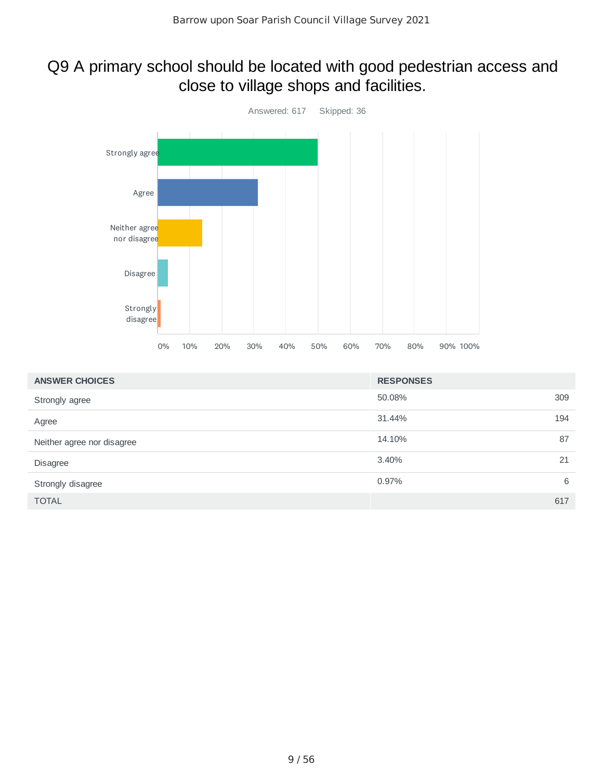# Q9 A primary school should be located with good pedestrian access and close to village shops and facilities.



| <b>ANSWER CHOICES</b>      | <b>RESPONSES</b> |   |
|----------------------------|------------------|---|
| Strongly agree             | 309<br>50.08%    |   |
| Agree                      | 31.44%<br>194    |   |
| Neither agree nor disagree | 87<br>14.10%     |   |
| Disagree                   | 3.40%<br>21      |   |
| Strongly disagree          | 0.97%            | 6 |
| <b>TOTAL</b>               | 617              |   |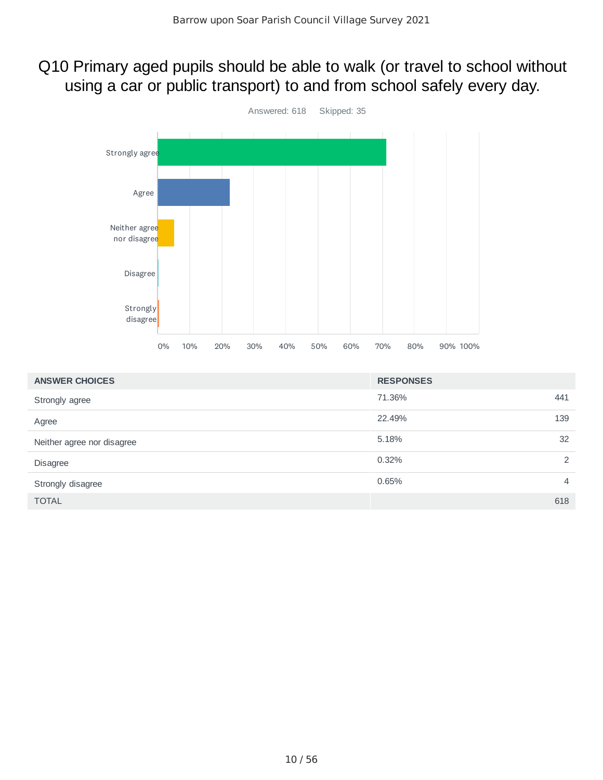### Q10 Primary aged pupils should be able to walk (or travel to school without using a car or public transport) to and from school safely every day.



| <b>ANSWER CHOICES</b>      | <b>RESPONSES</b> |                |
|----------------------------|------------------|----------------|
| Strongly agree             | 71.36%           | 441            |
| Agree                      | 22.49%           | 139            |
| Neither agree nor disagree | 5.18%            | 32             |
| Disagree                   | 0.32%            | 2              |
| Strongly disagree          | 0.65%            | $\overline{4}$ |
| <b>TOTAL</b>               |                  | 618            |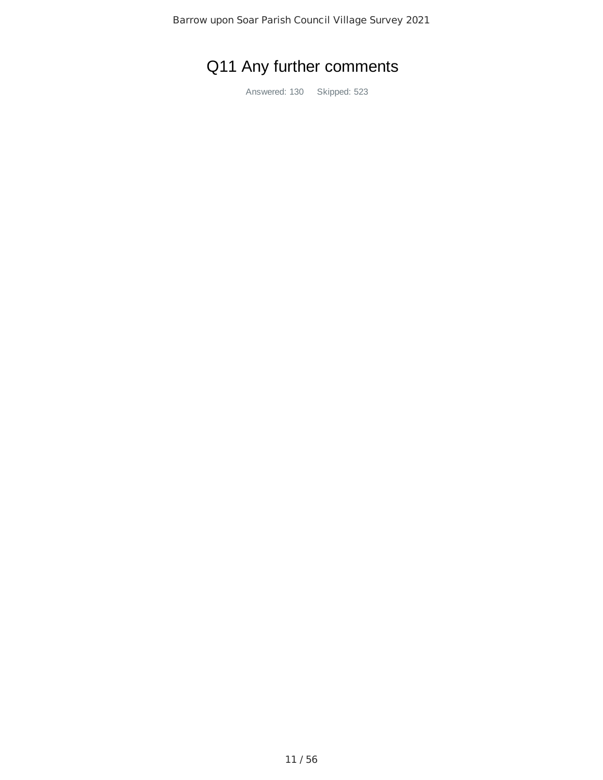# Q11 Any further comments

Answered: 130 Skipped: 523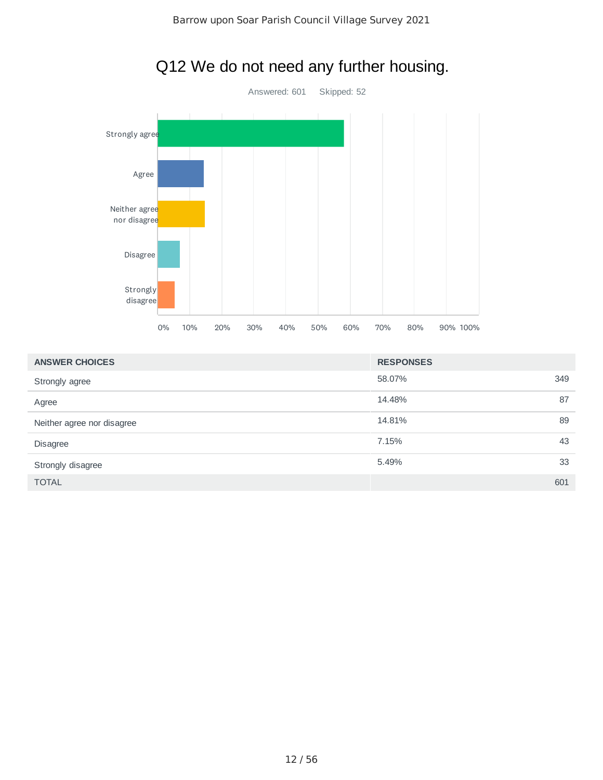

# Q12 We do not need any further housing.

| <b>ANSWER CHOICES</b>      | <b>RESPONSES</b> |     |
|----------------------------|------------------|-----|
| Strongly agree             | 58.07%           | 349 |
| Agree                      | 14.48%           | 87  |
| Neither agree nor disagree | 14.81%           | 89  |
| <b>Disagree</b>            | 7.15%            | 43  |
| Strongly disagree          | 5.49%            | 33  |
| <b>TOTAL</b>               |                  | 601 |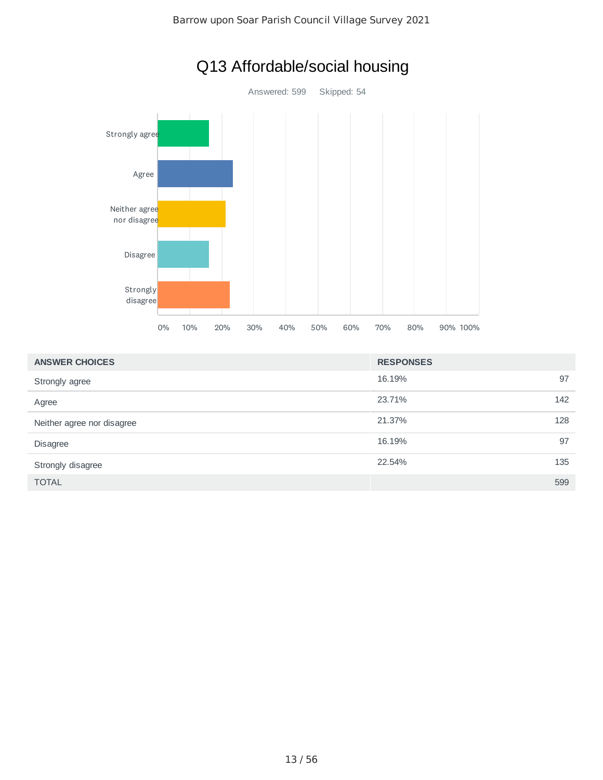

# Q13 Affordable/social housing

| <b>ANSWER CHOICES</b>      | <b>RESPONSES</b> |
|----------------------------|------------------|
| Strongly agree             | 97<br>16.19%     |
| Agree                      | 23.71%<br>142    |
| Neither agree nor disagree | 128<br>21.37%    |
| <b>Disagree</b>            | 97<br>16.19%     |
| Strongly disagree          | 22.54%<br>135    |
| <b>TOTAL</b>               | 599              |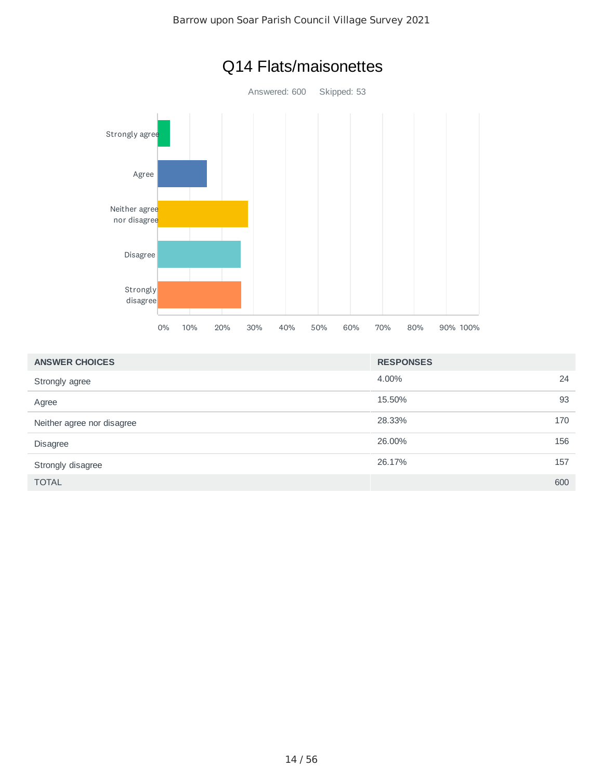

| <b>ANSWER CHOICES</b>      | <b>RESPONSES</b> |    |
|----------------------------|------------------|----|
| Strongly agree             | 4.00%            | 24 |
| Agree                      | 93<br>15.50%     |    |
| Neither agree nor disagree | 28.33%<br>170    |    |
| <b>Disagree</b>            | 156<br>26,00%    |    |
| Strongly disagree          | 26.17%<br>157    |    |
| <b>TOTAL</b>               | 600              |    |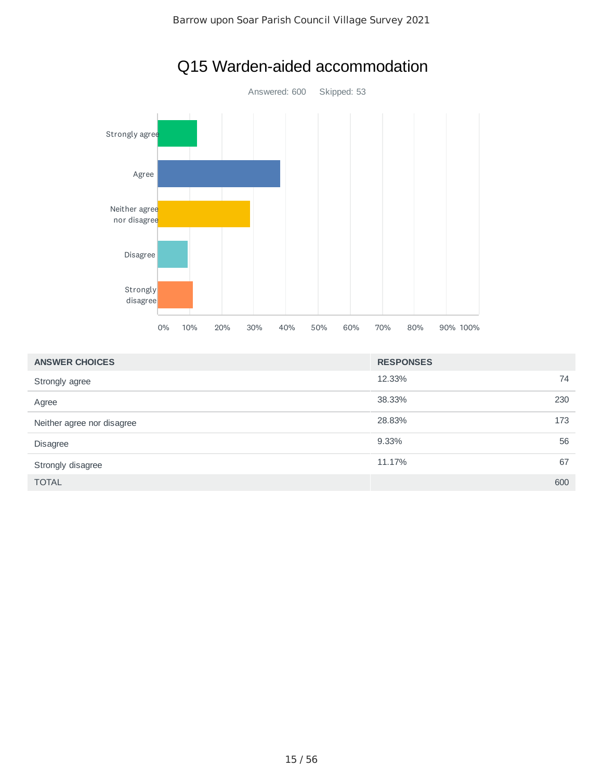

# Q15 Warden-aided accommodation

| <b>ANSWER CHOICES</b>      | <b>RESPONSES</b> |
|----------------------------|------------------|
| Strongly agree             | 12.33%<br>74     |
| Agree                      | 38.33%<br>230    |
| Neither agree nor disagree | 28.83%<br>173    |
| Disagree                   | 9.33%<br>56      |
| Strongly disagree          | 67<br>11.17%     |
| <b>TOTAL</b>               | 600              |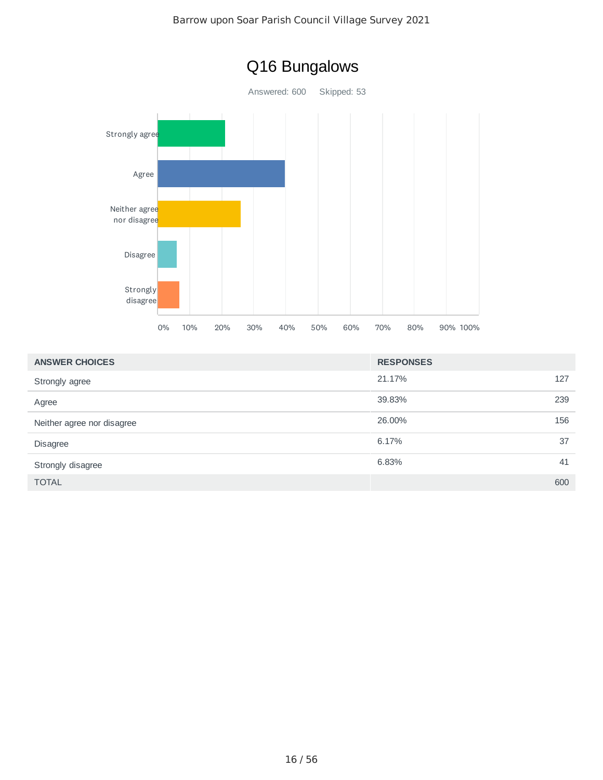

| Q16 Bungalows |  |
|---------------|--|
|---------------|--|

| <b>ANSWER CHOICES</b>      | <b>RESPONSES</b> |
|----------------------------|------------------|
| Strongly agree             | 21.17%<br>127    |
| Agree                      | 39.83%<br>239    |
| Neither agree nor disagree | 26,00%<br>156    |
| <b>Disagree</b>            | 37<br>6.17%      |
| Strongly disagree          | 6.83%<br>41      |
| <b>TOTAL</b>               | 600              |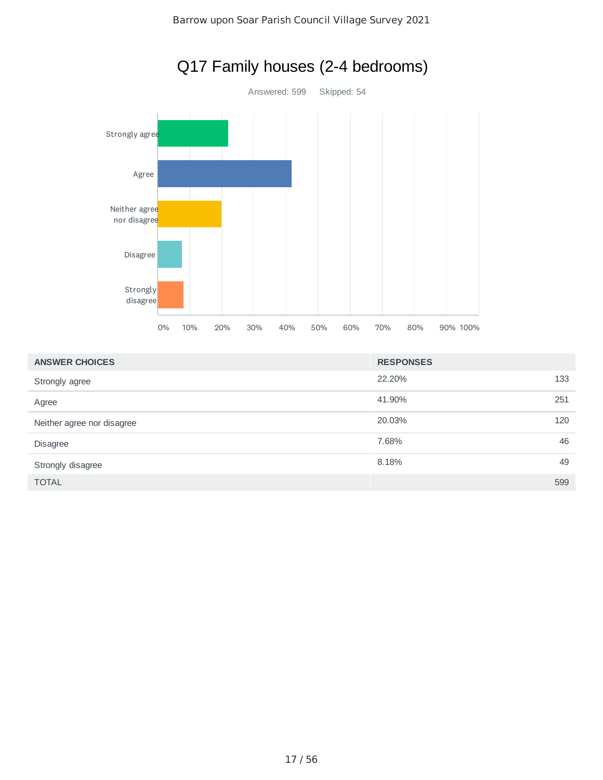

# Q17 Family houses (2-4 bedrooms)

| <b>ANSWER CHOICES</b>      | <b>RESPONSES</b> |     |
|----------------------------|------------------|-----|
| Strongly agree             | 22.20%           | 133 |
| Agree                      | 41.90%           | 251 |
| Neither agree nor disagree | 20.03%           | 120 |
| <b>Disagree</b>            | 7.68%            | 46  |
| Strongly disagree          | 8.18%            | 49  |
| <b>TOTAL</b>               |                  | 599 |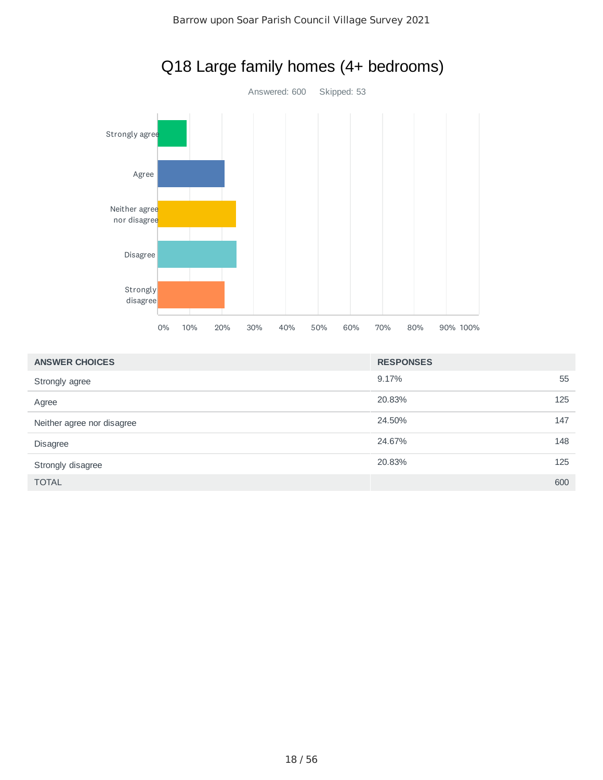

| <b>ANSWER CHOICES</b>      | <b>RESPONSES</b> |     |
|----------------------------|------------------|-----|
| Strongly agree             | 9.17%            | 55  |
| Agree                      | 20.83%           | 125 |
| Neither agree nor disagree | 24.50%           | 147 |
| Disagree                   | 24.67%           | 148 |
| Strongly disagree          | 20.83%           | 125 |
| <b>TOTAL</b>               |                  | 600 |

# Q18 Large family homes (4+ bedrooms)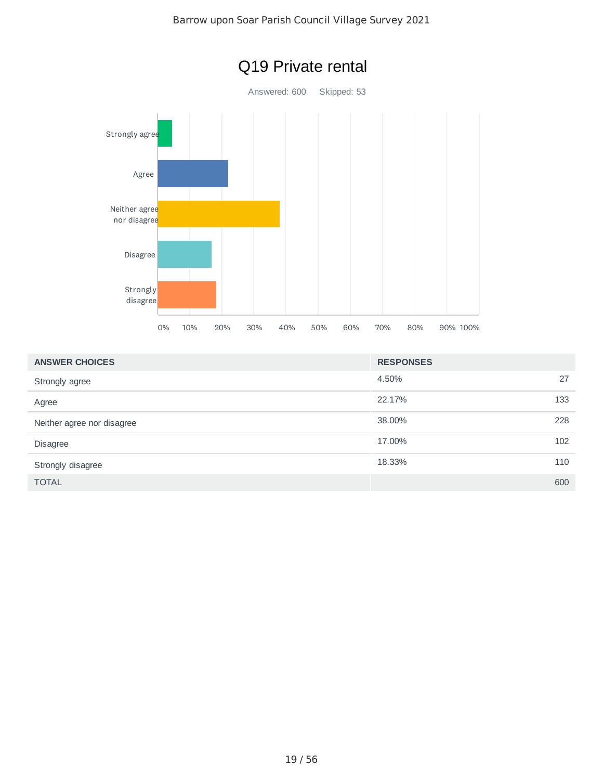

| <b>ANSWER CHOICES</b>      | <b>RESPONSES</b> |     |
|----------------------------|------------------|-----|
| Strongly agree             | 4.50%            | 27  |
| Agree                      | 22.17%           | 133 |
| Neither agree nor disagree | 38.00%           | 228 |
| <b>Disagree</b>            | 17.00%           | 102 |
| Strongly disagree          | 18.33%           | 110 |
| <b>TOTAL</b>               |                  | 600 |

#### 19 / 56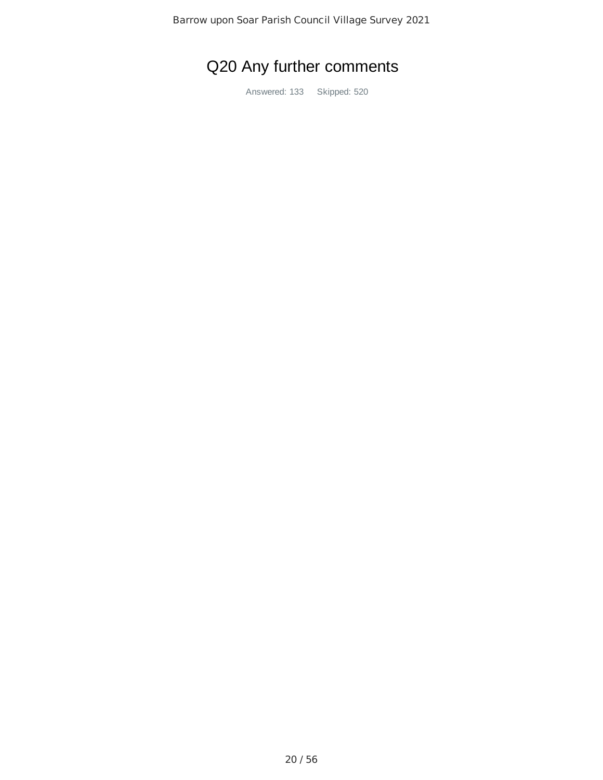# Q20 Any further comments

Answered: 133 Skipped: 520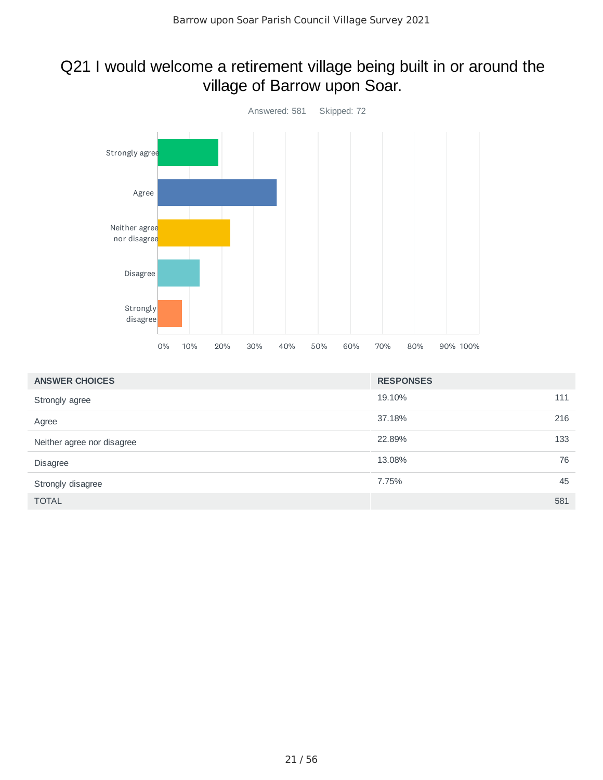# Q21 I would welcome a retirement village being built in or around the village of Barrow upon Soar.



| <b>ANSWER CHOICES</b>      | <b>RESPONSES</b> |     |
|----------------------------|------------------|-----|
| Strongly agree             | 19.10%           | 111 |
| Agree                      | 37.18%           | 216 |
| Neither agree nor disagree | 22.89%           | 133 |
| <b>Disagree</b>            | 13.08%           | 76  |
| Strongly disagree          | 7.75%            | 45  |
| <b>TOTAL</b>               |                  | 581 |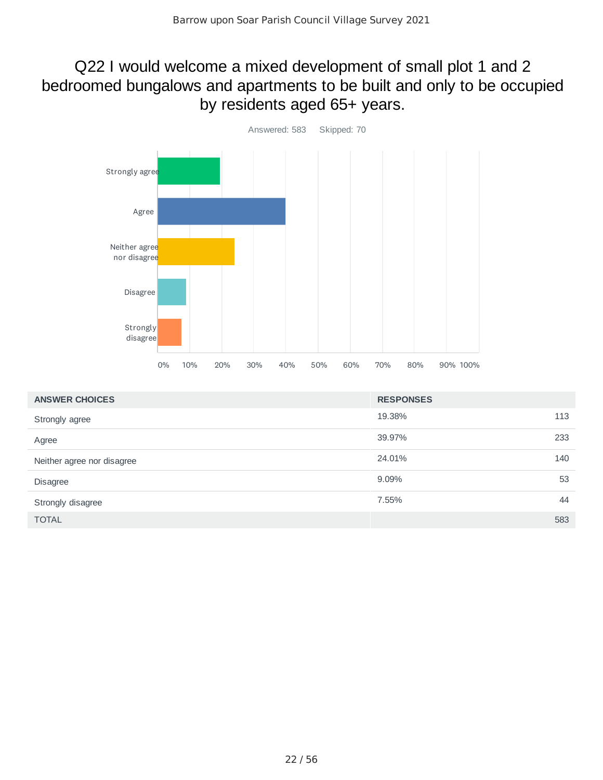## Q22 I would welcome a mixed development of small plot 1 and 2 bedroomed bungalows and apartments to be built and only to be occupied by residents aged 65+ years.



| <b>ANSWER CHOICES</b>      | <b>RESPONSES</b> |
|----------------------------|------------------|
| Strongly agree             | 113<br>19.38%    |
| Agree                      | 233<br>39.97%    |
| Neither agree nor disagree | 140<br>24.01%    |
| <b>Disagree</b>            | 53<br>9.09%      |
| Strongly disagree          | 44<br>7.55%      |
| <b>TOTAL</b>               | 583              |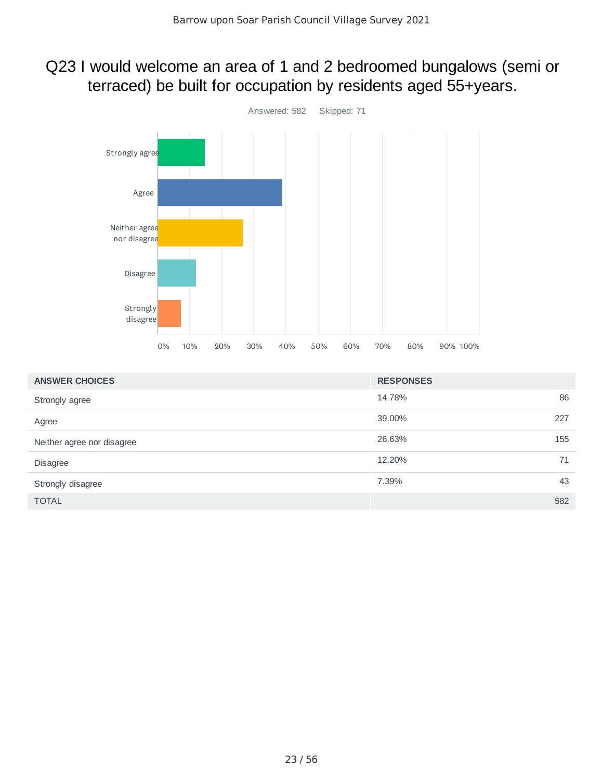### Q23 I would welcome an area of 1 and 2 bedroomed bungalows (semi or terraced) be built for occupation by residents aged 55+years.



| <b>ANSWER CHOICES</b>      | <b>RESPONSES</b> |
|----------------------------|------------------|
| Strongly agree             | 86<br>14.78%     |
| Agree                      | 39.00%<br>227    |
| Neither agree nor disagree | 26.63%<br>155    |
| <b>Disagree</b>            | 12.20%<br>71     |
| Strongly disagree          | 43<br>7.39%      |
| <b>TOTAL</b>               | 582              |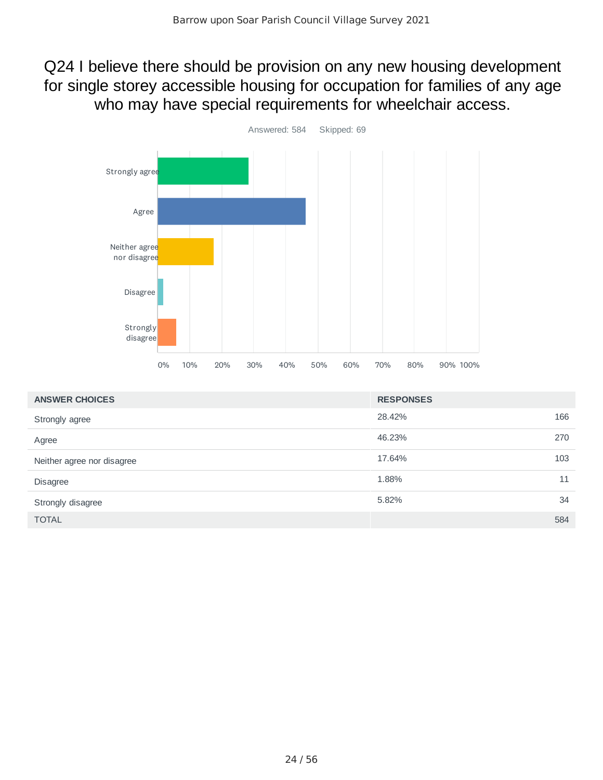Q24 I believe there should be provision on any new housing development for single storey accessible housing for occupation for families of any age who may have special requirements for wheelchair access.



| <b>ANSWER CHOICES</b>      | <b>RESPONSES</b> |     |
|----------------------------|------------------|-----|
| Strongly agree             | 28.42%           | 166 |
| Agree                      | 46.23%           | 270 |
| Neither agree nor disagree | 17.64%           | 103 |
| <b>Disagree</b>            | 1.88%            | 11  |
| Strongly disagree          | 5.82%            | 34  |
| <b>TOTAL</b>               |                  | 584 |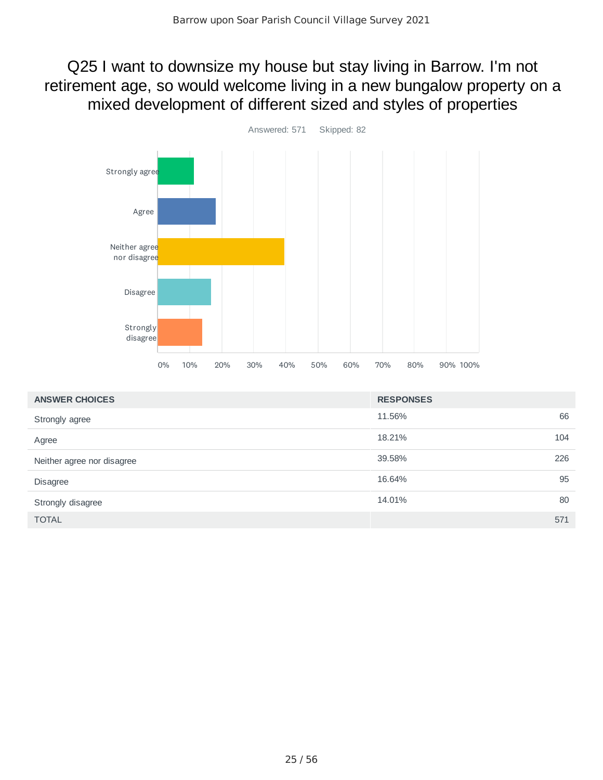Q25 I want to downsize my house but stay living in Barrow. I'm not retirement age, so would welcome living in a new bungalow property on a mixed development of different sized and styles of properties



| <b>ANSWER CHOICES</b>      | <b>RESPONSES</b> |    |
|----------------------------|------------------|----|
| Strongly agree             | 11.56%           | 66 |
| Agree                      | 104<br>18.21%    |    |
| Neither agree nor disagree | 226<br>39.58%    |    |
| <b>Disagree</b>            | 16.64%           | 95 |
| Strongly disagree          | 14.01%           | 80 |
| <b>TOTAL</b>               | 571              |    |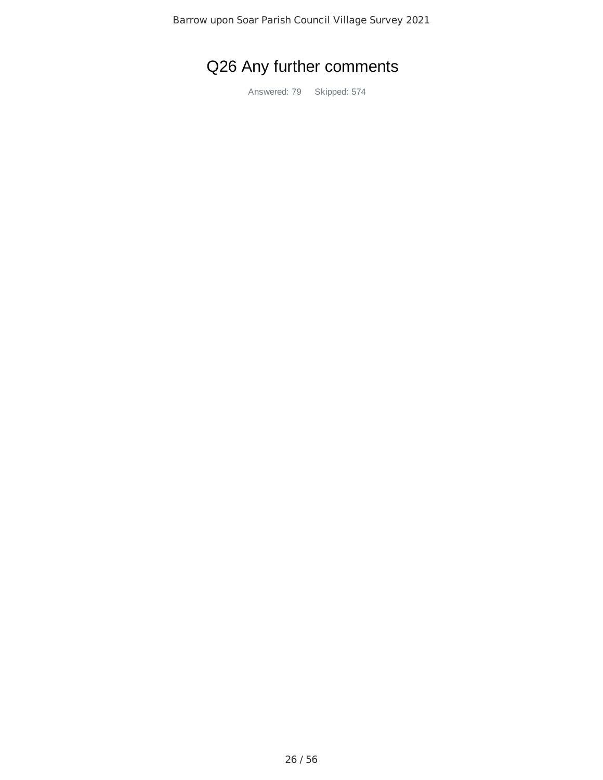# Q26 Any further comments

Answered: 79 Skipped: 574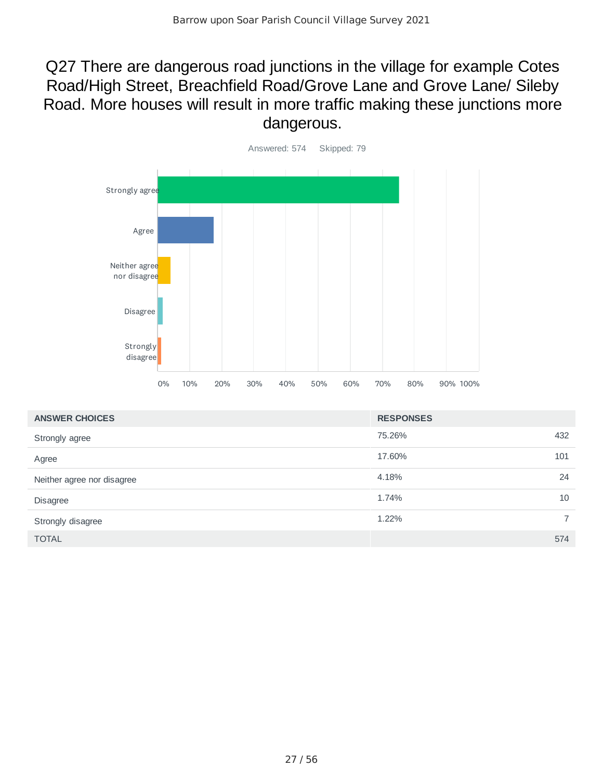## Q27 There are dangerous road junctions in the village for example Cotes Road/High Street, Breachfield Road/Grove Lane and Grove Lane/ Sileby Road. More houses will result in more traffic making these junctions more dangerous.



| <b>ANSWER CHOICES</b>      | <b>RESPONSES</b> |                |
|----------------------------|------------------|----------------|
| Strongly agree             | 75.26%           | 432            |
| Agree                      | 17.60%           | 101            |
| Neither agree nor disagree | 4.18%            | 24             |
| <b>Disagree</b>            | 1.74%            | 10             |
| Strongly disagree          | 1.22%            | $\overline{7}$ |
| <b>TOTAL</b>               |                  | 574            |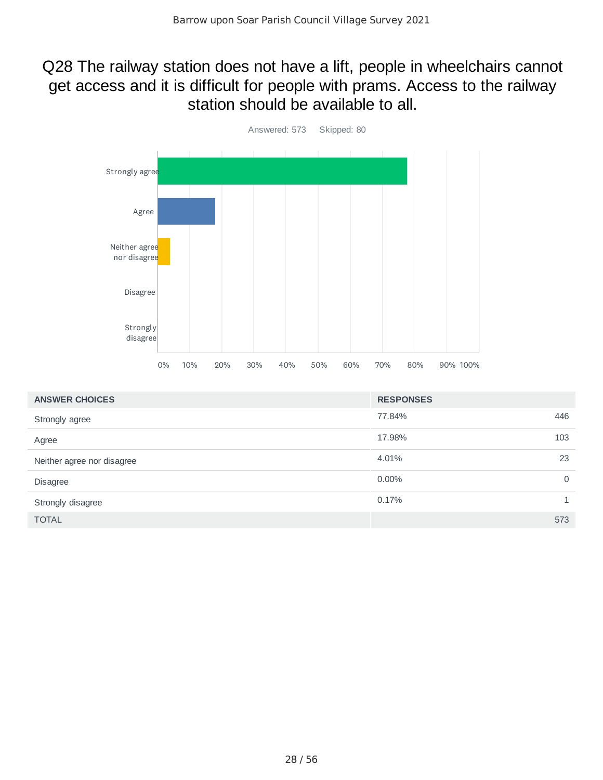## Q28 The railway station does not have a lift, people in wheelchairs cannot get access and it is difficult for people with prams. Access to the railway station should be available to all.



| <b>ANSWER CHOICES</b>      | <b>RESPONSES</b> |             |
|----------------------------|------------------|-------------|
| Strongly agree             | 77.84%           | 446         |
| Agree                      | 17.98%           | 103         |
| Neither agree nor disagree | 4.01%            | 23          |
| <b>Disagree</b>            | $0.00\%$         | $\mathbf 0$ |
| Strongly disagree          | 0.17%            | 1           |
| <b>TOTAL</b>               |                  | 573         |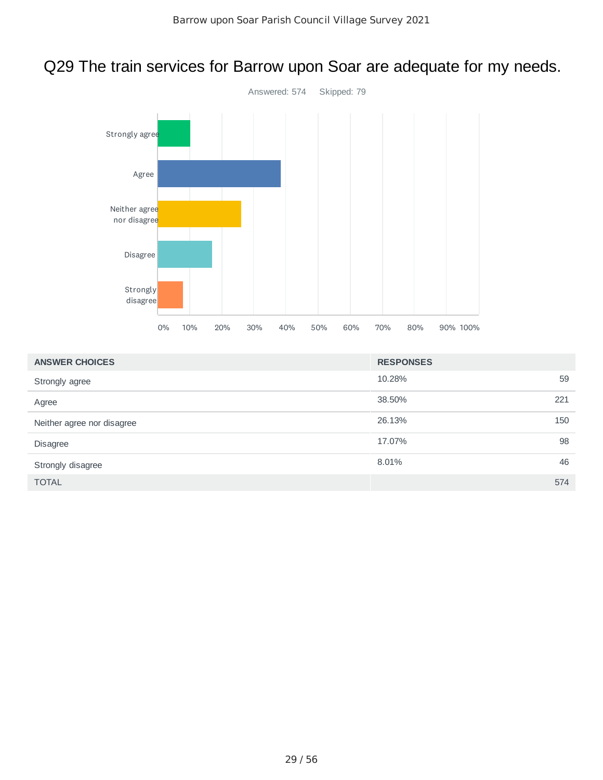# Q29 The train services for Barrow upon Soar are adequate for my needs.



| <b>ANSWER CHOICES</b>      | <b>RESPONSES</b> |
|----------------------------|------------------|
| Strongly agree             | 59<br>10.28%     |
| Agree                      | 38.50%<br>221    |
| Neither agree nor disagree | 26.13%<br>150    |
| Disagree                   | 98<br>17.07%     |
| Strongly disagree          | 46<br>8.01%      |
| <b>TOTAL</b>               | 574              |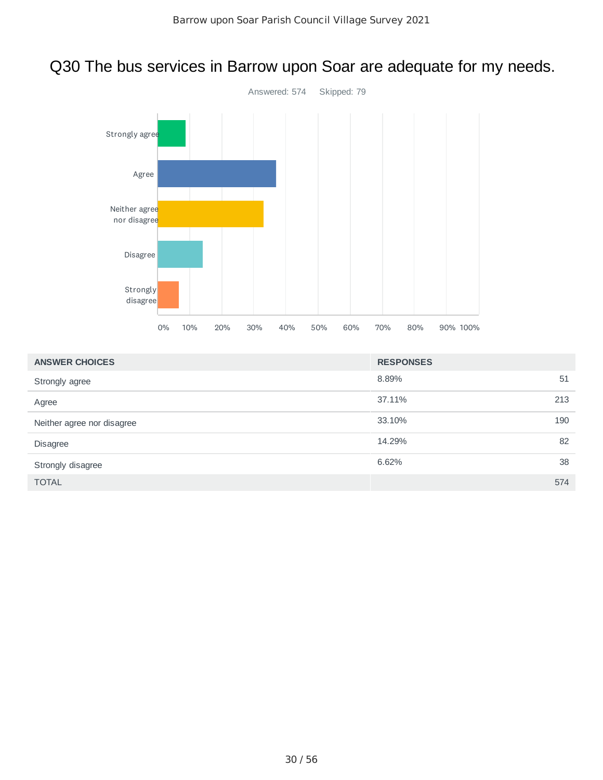# Q30 The bus services in Barrow upon Soar are adequate for my needs.



| <b>ANSWER CHOICES</b>      | <b>RESPONSES</b> |
|----------------------------|------------------|
| Strongly agree             | 51<br>8.89%      |
| Agree                      | 37.11%<br>213    |
| Neither agree nor disagree | 190<br>33.10%    |
| Disagree                   | 82<br>14.29%     |
| Strongly disagree          | 38<br>6.62%      |
| <b>TOTAL</b>               | 574              |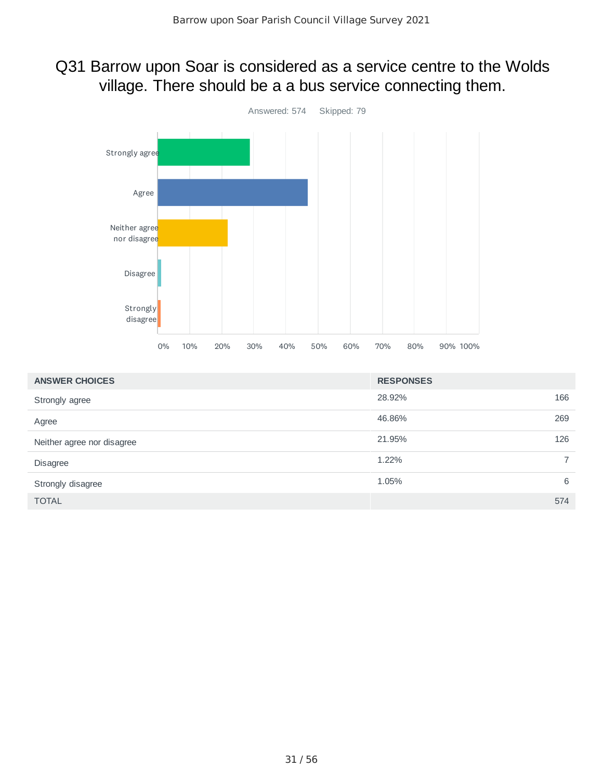### Q31 Barrow upon Soar is considered as a service centre to the Wolds village. There should be a a bus service connecting them.



| <b>ANSWER CHOICES</b>      | <b>RESPONSES</b> |                |
|----------------------------|------------------|----------------|
| Strongly agree             | 28.92%           | 166            |
| Agree                      | 46.86%           | 269            |
| Neither agree nor disagree | 21.95%           | 126            |
| <b>Disagree</b>            | 1.22%            | $\overline{7}$ |
| Strongly disagree          | 1.05%            | 6              |
| <b>TOTAL</b>               |                  | 574            |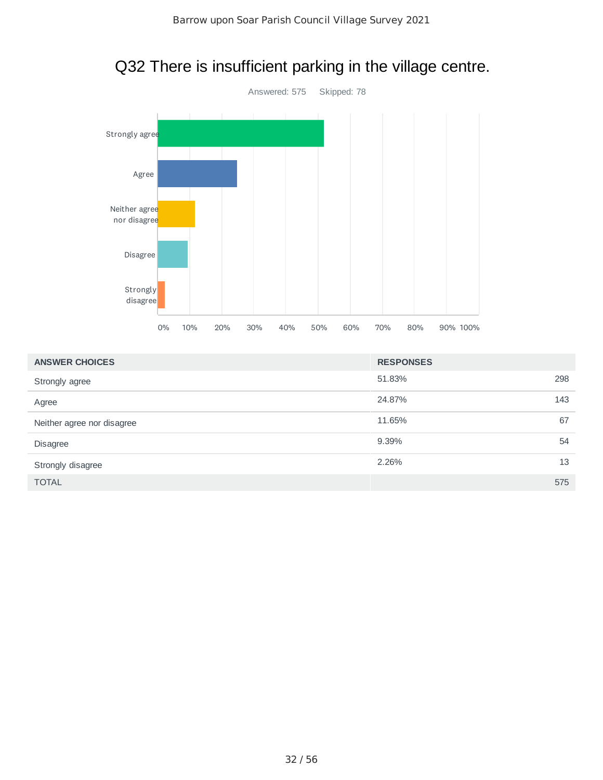

# Q32 There is insufficient parking in the village centre.

| <b>ANSWER CHOICES</b>      | <b>RESPONSES</b> |     |
|----------------------------|------------------|-----|
| Strongly agree             | 51.83%           | 298 |
| Agree                      | 24.87%           | 143 |
| Neither agree nor disagree | 11.65%           | 67  |
| <b>Disagree</b>            | 9.39%            | 54  |
| Strongly disagree          | 2.26%            | 13  |
| <b>TOTAL</b>               |                  | 575 |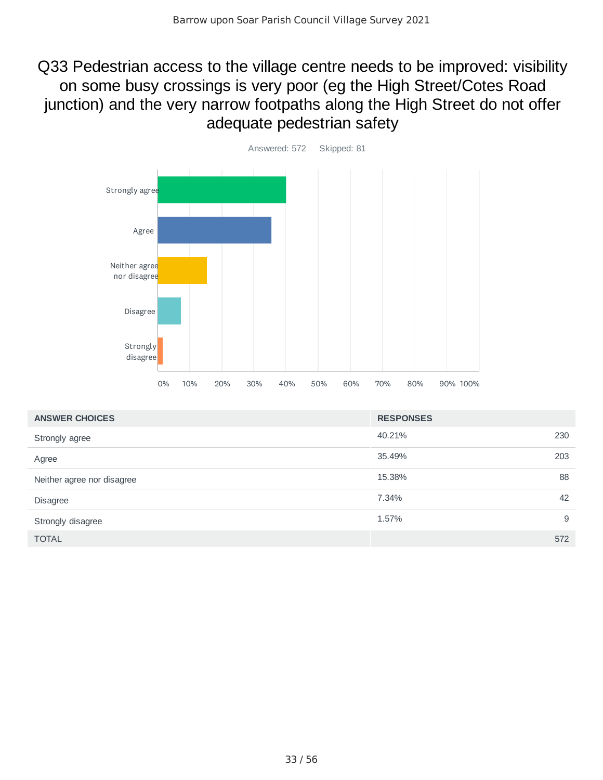## Q33 Pedestrian access to the village centre needs to be improved: visibility on some busy crossings is very poor (eg the High Street/Cotes Road junction) and the very narrow footpaths along the High Street do not offer adequate pedestrian safety



| <b>ANSWER CHOICES</b>      | <b>RESPONSES</b> |
|----------------------------|------------------|
| Strongly agree             | 230<br>40.21%    |
| Agree                      | 203<br>35.49%    |
| Neither agree nor disagree | 88<br>15.38%     |
| <b>Disagree</b>            | 42<br>7.34%      |
| Strongly disagree          | 9<br>1.57%       |
| <b>TOTAL</b>               | 572              |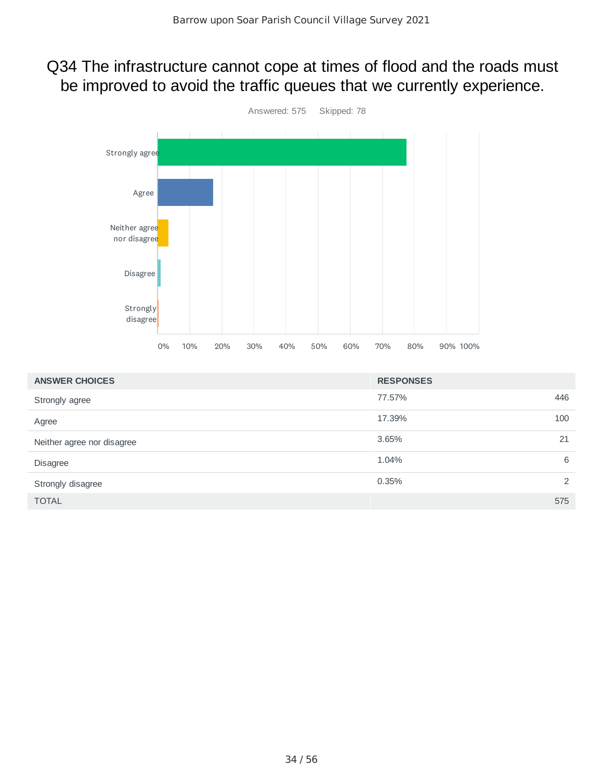### Q34 The infrastructure cannot cope at times of flood and the roads must be improved to avoid the traffic queues that we currently experience.



| <b>ANSWER CHOICES</b>      | <b>RESPONSES</b> |     |
|----------------------------|------------------|-----|
| Strongly agree             | 77.57%           | 446 |
| Agree                      | 17.39%           | 100 |
| Neither agree nor disagree | 3.65%            | 21  |
| <b>Disagree</b>            | 1.04%            | 6   |
| Strongly disagree          | 0.35%            | 2   |
| <b>TOTAL</b>               |                  | 575 |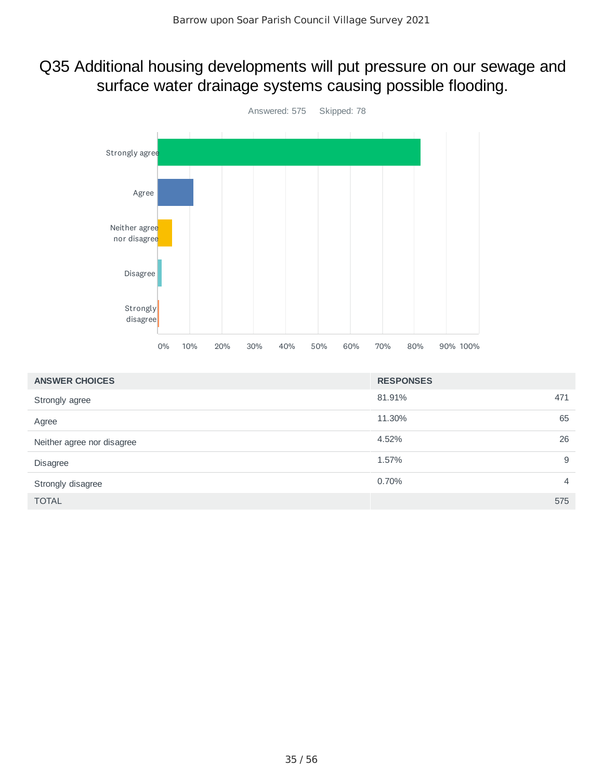### Q35 Additional housing developments will put pressure on our sewage and surface water drainage systems causing possible flooding.



| <b>ANSWER CHOICES</b>      | <b>RESPONSES</b>        |
|----------------------------|-------------------------|
| Strongly agree             | 81.91%<br>471           |
| Agree                      | 65<br>11.30%            |
| Neither agree nor disagree | 26<br>4.52%             |
| <b>Disagree</b>            | 9<br>1.57%              |
| Strongly disagree          | 0.70%<br>$\overline{4}$ |
| <b>TOTAL</b>               | 575                     |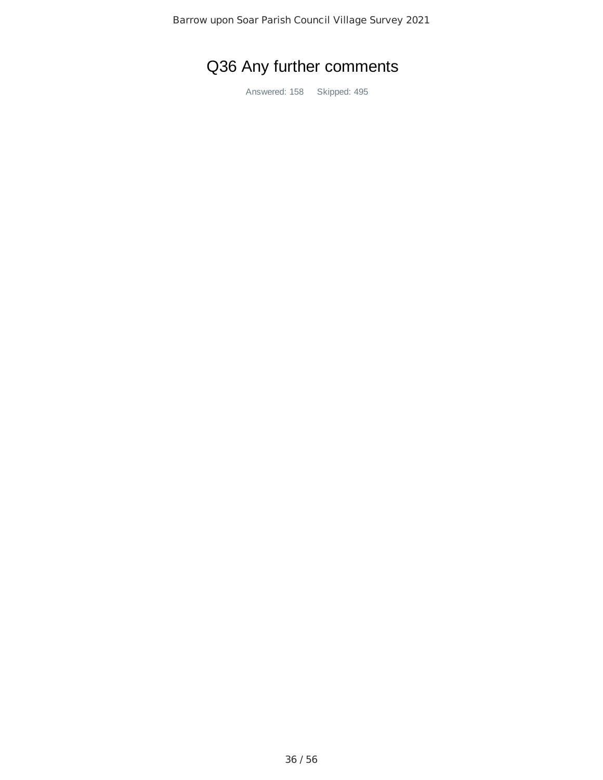# Q36 Any further comments

Answered: 158 Skipped: 495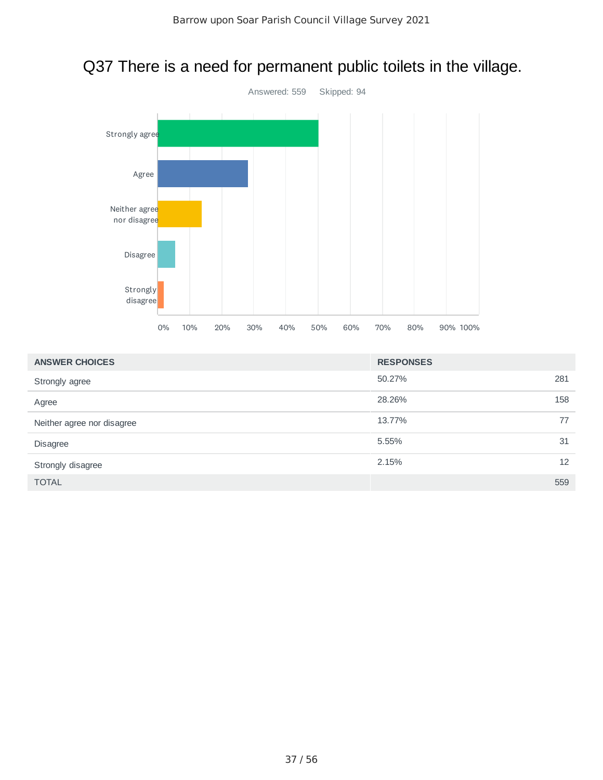# Q37 There is a need for permanent public toilets in the village.



| <b>ANSWER CHOICES</b>      | <b>RESPONSES</b> |
|----------------------------|------------------|
| Strongly agree             | 281<br>50.27%    |
| Agree                      | 28.26%<br>158    |
| Neither agree nor disagree | 13.77%<br>77     |
| <b>Disagree</b>            | 5.55%<br>31      |
| Strongly disagree          | 12<br>2.15%      |
| <b>TOTAL</b>               | 559              |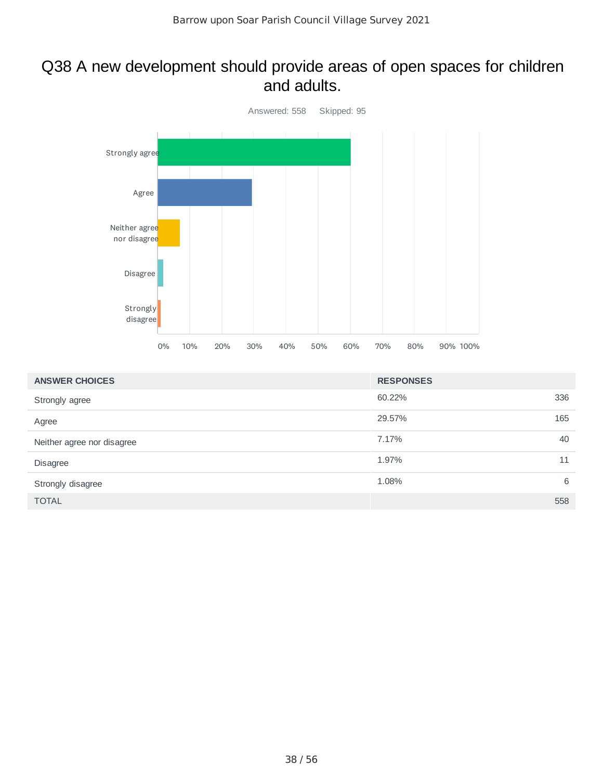#### Q38 A new development should provide areas of open spaces for children and adults.



| <b>ANSWER CHOICES</b>      | <b>RESPONSES</b> |    |
|----------------------------|------------------|----|
| Strongly agree             | 336<br>60.22%    |    |
| Agree                      | 165<br>29.57%    |    |
| Neither agree nor disagree | 7.17%            | 40 |
| Disagree                   | 1.97%            | 11 |
| Strongly disagree          | 1.08%            | 6  |
| <b>TOTAL</b>               | 558              |    |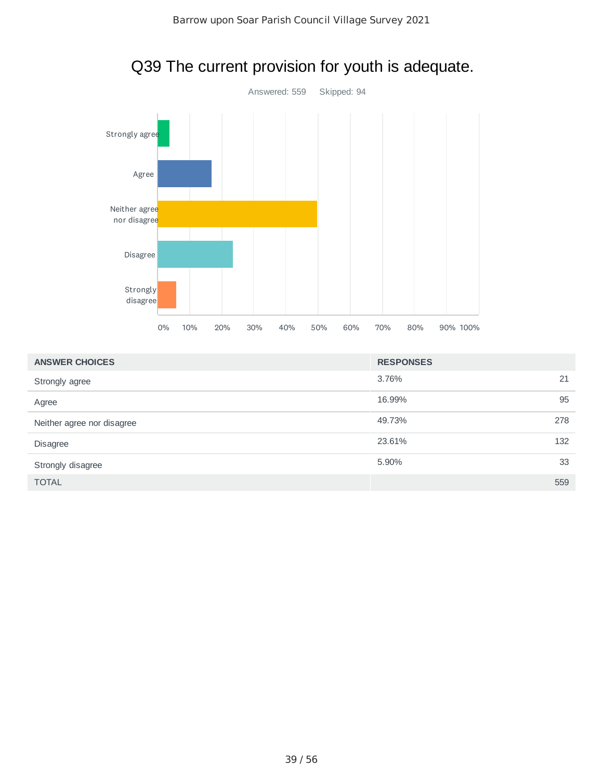

| Q39 The current provision for youth is adequate. |  |
|--------------------------------------------------|--|
|--------------------------------------------------|--|

| <b>ANSWER CHOICES</b>      | <b>RESPONSES</b> |    |
|----------------------------|------------------|----|
| Strongly agree             | 3.76%            | 21 |
| Agree                      | 16.99%           | 95 |
| Neither agree nor disagree | 49.73%<br>278    |    |
| <b>Disagree</b>            | 23.61%<br>132    |    |
| Strongly disagree          | 5.90%            | 33 |
| <b>TOTAL</b>               | 559              |    |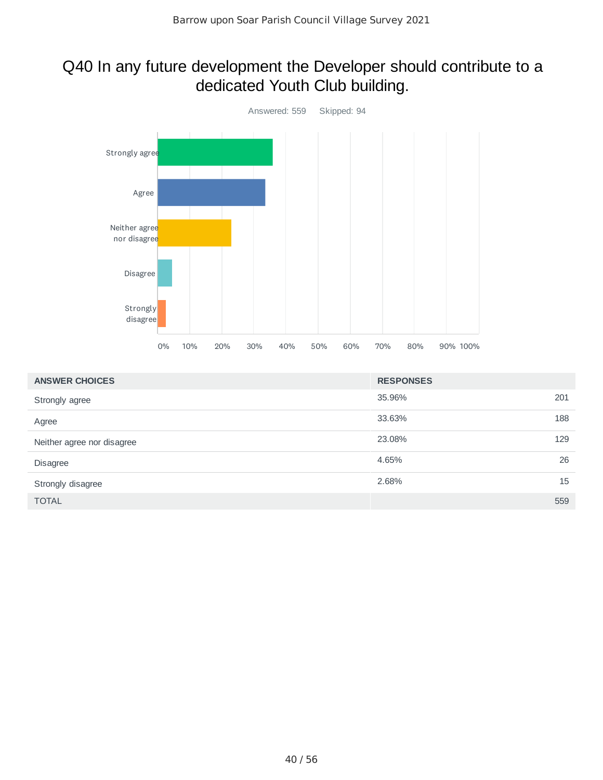### Q40 In any future development the Developer should contribute to a dedicated Youth Club building.



| <b>ANSWER CHOICES</b>      | <b>RESPONSES</b> |     |
|----------------------------|------------------|-----|
| Strongly agree             | 35.96%           | 201 |
| Agree                      | 33.63%           | 188 |
| Neither agree nor disagree | 23.08%           | 129 |
| <b>Disagree</b>            | 4.65%            | 26  |
| Strongly disagree          | 2.68%            | 15  |
| <b>TOTAL</b>               |                  | 559 |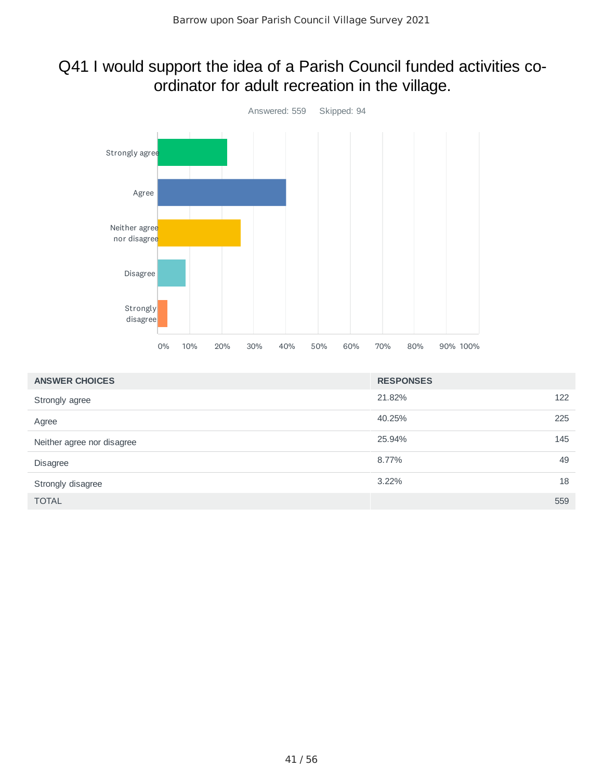# Q41 I would support the idea of a Parish Council funded activities coordinator for adult recreation in the village.



| <b>ANSWER CHOICES</b>      | <b>RESPONSES</b> |     |
|----------------------------|------------------|-----|
| Strongly agree             | 21.82%           | 122 |
| Agree                      | 225<br>40.25%    |     |
| Neither agree nor disagree | 145<br>25.94%    |     |
| <b>Disagree</b>            | 8.77%            | 49  |
| Strongly disagree          | $3.22\%$         | 18  |
| <b>TOTAL</b>               | 559              |     |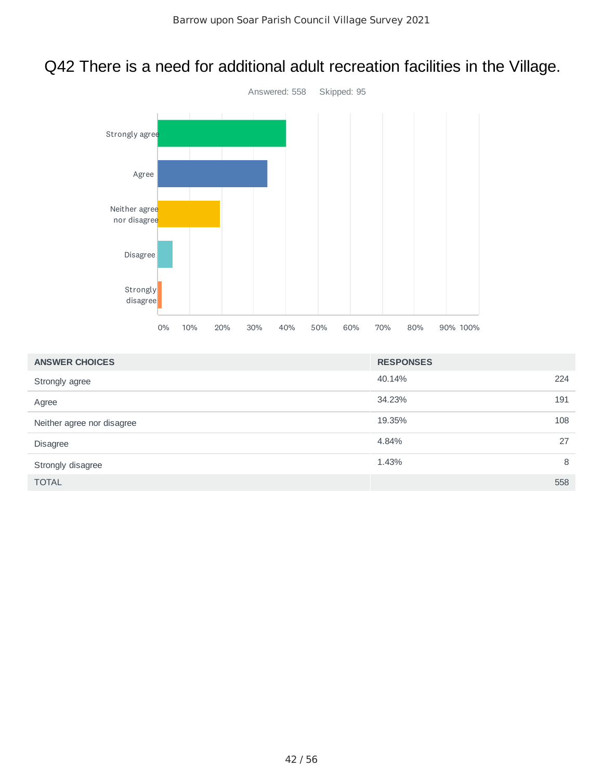# Q42 There is a need for additional adult recreation facilities in the Village.



| <b>ANSWER CHOICES</b>      | <b>RESPONSES</b> |     |
|----------------------------|------------------|-----|
| Strongly agree             | 40.14%           | 224 |
| Agree                      | 34.23%           | 191 |
| Neither agree nor disagree | 19.35%           | 108 |
| Disagree                   | 4.84%            | 27  |
| Strongly disagree          | 1.43%            | 8   |
| <b>TOTAL</b>               |                  | 558 |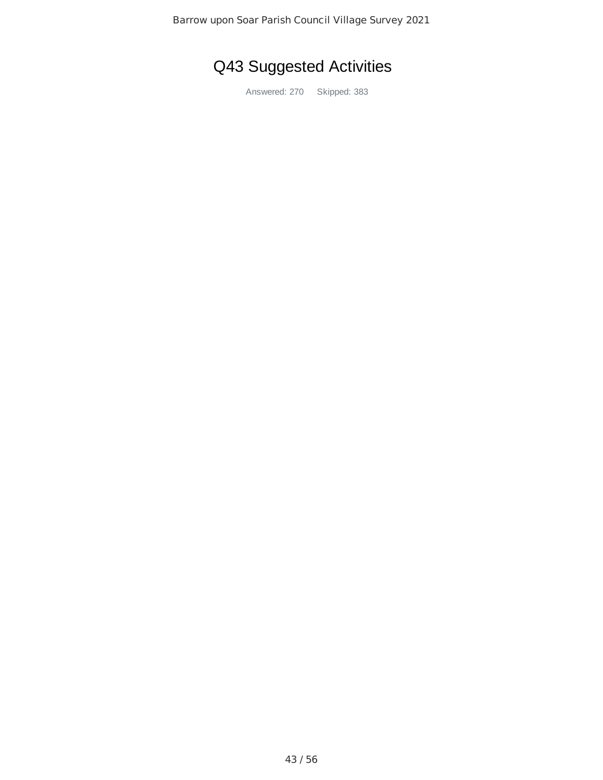# Q43 Suggested Activities

Answered: 270 Skipped: 383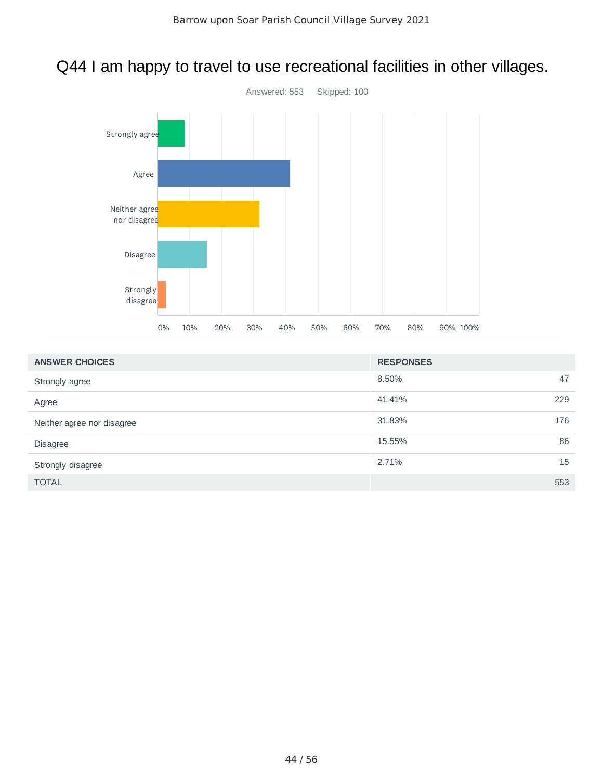# Q44 I am happy to travel to use recreational facilities in other villages.



| <b>ANSWER CHOICES</b>      | <b>RESPONSES</b> |
|----------------------------|------------------|
| Strongly agree             | 8.50%<br>47      |
| Agree                      | 41.41%<br>229    |
| Neither agree nor disagree | 176<br>31.83%    |
| Disagree                   | 86<br>15.55%     |
| Strongly disagree          | 15<br>2.71%      |
| <b>TOTAL</b>               | 553              |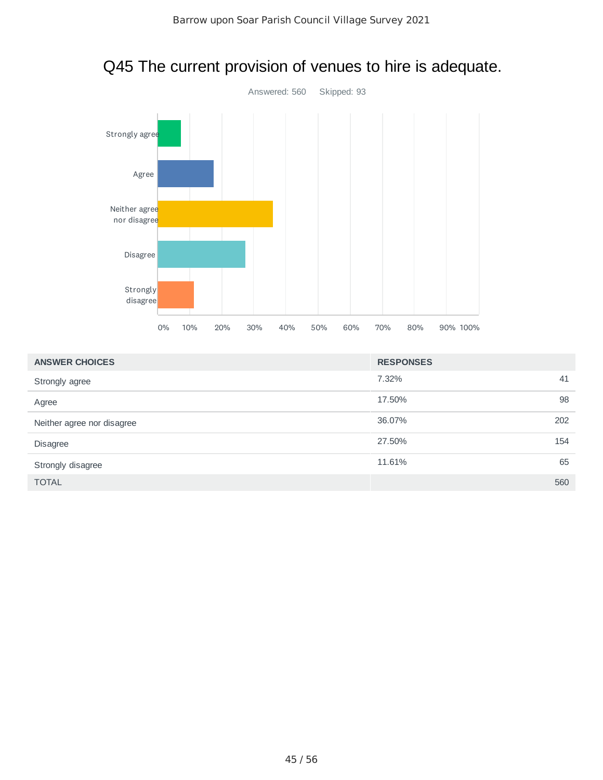

| <b>ANSWER CHOICES</b>      | <b>RESPONSES</b> |
|----------------------------|------------------|
| Strongly agree             | 7.32%<br>41      |
| Agree                      | 98<br>17.50%     |
| Neither agree nor disagree | 36.07%<br>202    |
| <b>Disagree</b>            | 27.50%<br>154    |
| Strongly disagree          | 65<br>11.61%     |
| <b>TOTAL</b>               | 560              |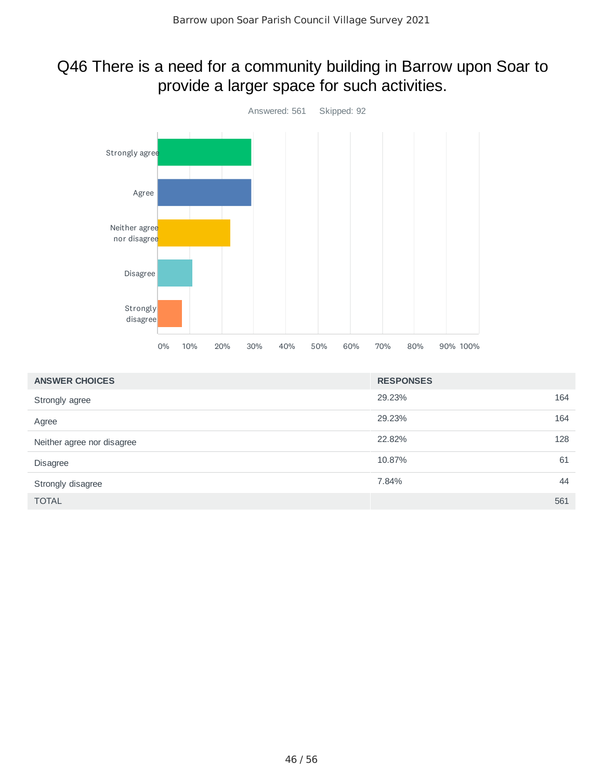### Q46 There is a need for a community building in Barrow upon Soar to provide a larger space for such activities.



| <b>ANSWER CHOICES</b>      | <b>RESPONSES</b> |     |
|----------------------------|------------------|-----|
| Strongly agree             | 29.23%           | 164 |
| Agree                      | 29.23%           | 164 |
| Neither agree nor disagree | 22.82%           | 128 |
| <b>Disagree</b>            | 10.87%           | 61  |
| Strongly disagree          | 7.84%            | 44  |
| <b>TOTAL</b>               |                  | 561 |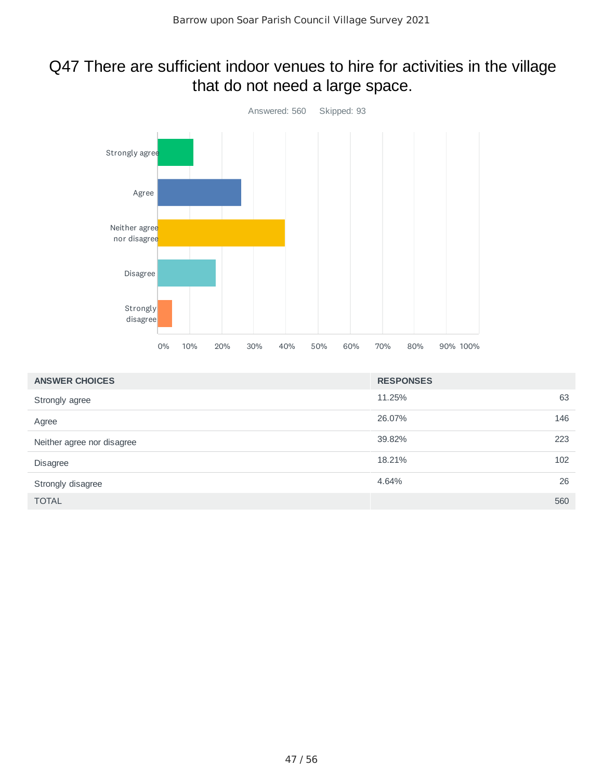### Q47 There are sufficient indoor venues to hire for activities in the village that do not need a large space.



| <b>ANSWER CHOICES</b>      | <b>RESPONSES</b> |     |
|----------------------------|------------------|-----|
| Strongly agree             | 11.25%           | 63  |
| Agree                      | 26.07%           | 146 |
| Neither agree nor disagree | 39.82%           | 223 |
| Disagree                   | 18.21%           | 102 |
| Strongly disagree          | 4.64%            | 26  |
| <b>TOTAL</b>               |                  | 560 |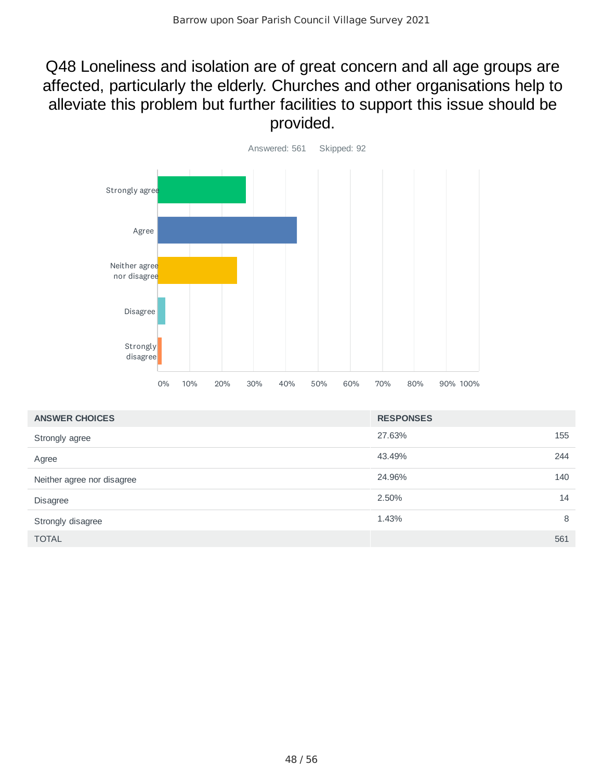### Q48 Loneliness and isolation are of great concern and all age groups are affected, particularly the elderly. Churches and other organisations help to alleviate this problem but further facilities to support this issue should be provided.



| <b>ANSWER CHOICES</b>      | <b>RESPONSES</b> |     |
|----------------------------|------------------|-----|
| Strongly agree             | 27.63%           | 155 |
| Agree                      | 43.49%           | 244 |
| Neither agree nor disagree | 140<br>24.96%    |     |
| <b>Disagree</b>            | 2.50%            | 14  |
| Strongly disagree          | 1.43%            | 8   |
| <b>TOTAL</b>               | 561              |     |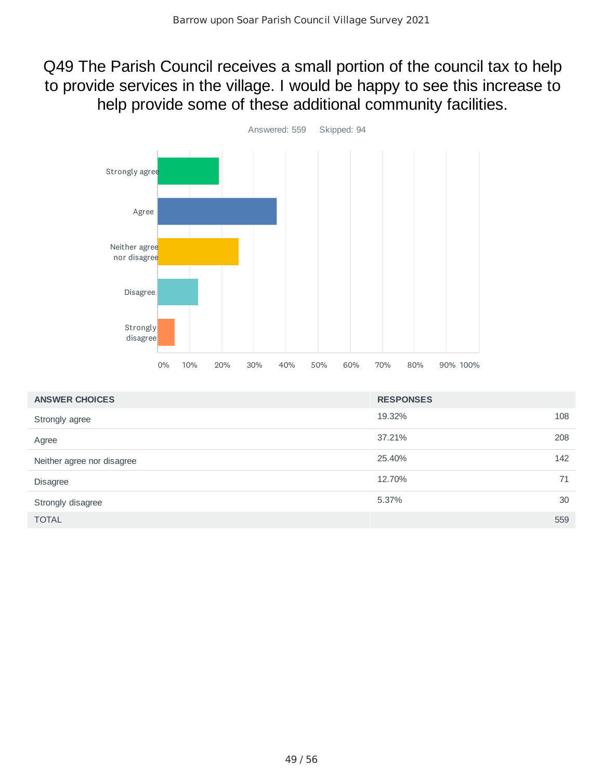Q49 The Parish Council receives a small portion of the council tax to help to provide services in the village. I would be happy to see this increase to help provide some of these additional community facilities.



| <b>ANSWER CHOICES</b>      | <b>RESPONSES</b> |     |
|----------------------------|------------------|-----|
| Strongly agree             | 19.32%           | 108 |
| Agree                      | 37.21%           | 208 |
| Neither agree nor disagree | 25.40%           | 142 |
| <b>Disagree</b>            | 12.70%           | 71  |
| Strongly disagree          | 5.37%            | 30  |
| <b>TOTAL</b>               |                  | 559 |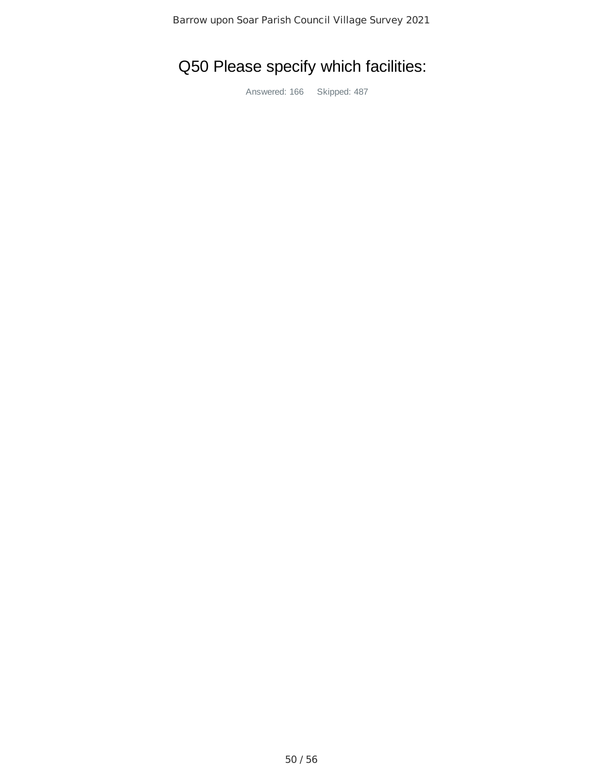# Q50 Please specify which facilities:

Answered: 166 Skipped: 487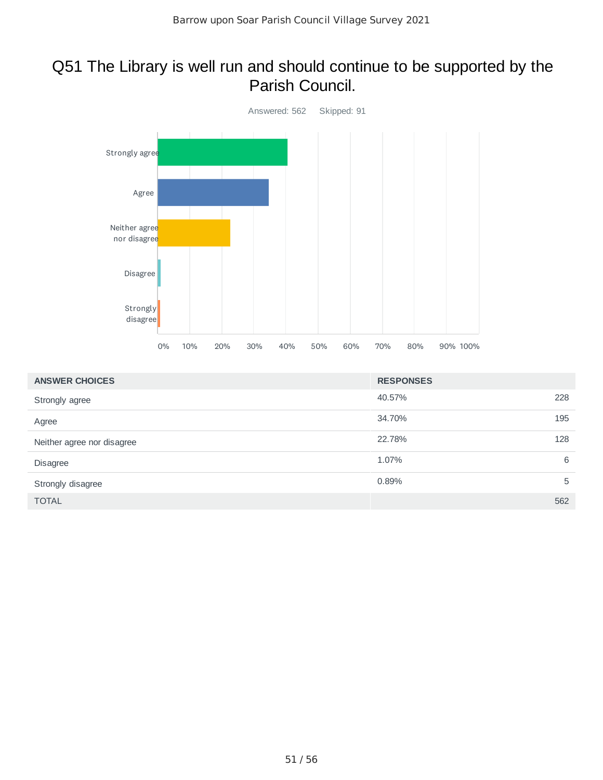#### Q51 The Library is well run and should continue to be supported by the Parish Council.



| <b>ANSWER CHOICES</b>      | <b>RESPONSES</b> |     |
|----------------------------|------------------|-----|
| Strongly agree             | 40.57%           | 228 |
| Agree                      | 34.70%           | 195 |
| Neither agree nor disagree | 22.78%           | 128 |
| <b>Disagree</b>            | 1.07%            | 6   |
| Strongly disagree          | 0.89%            | 5   |
| <b>TOTAL</b>               |                  | 562 |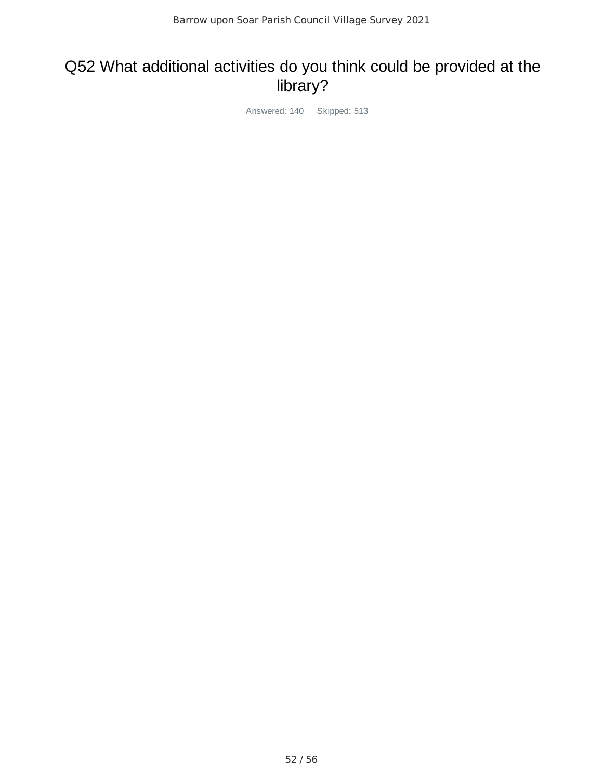# Q52 What additional activities do you think could be provided at the library?

Answered: 140 Skipped: 513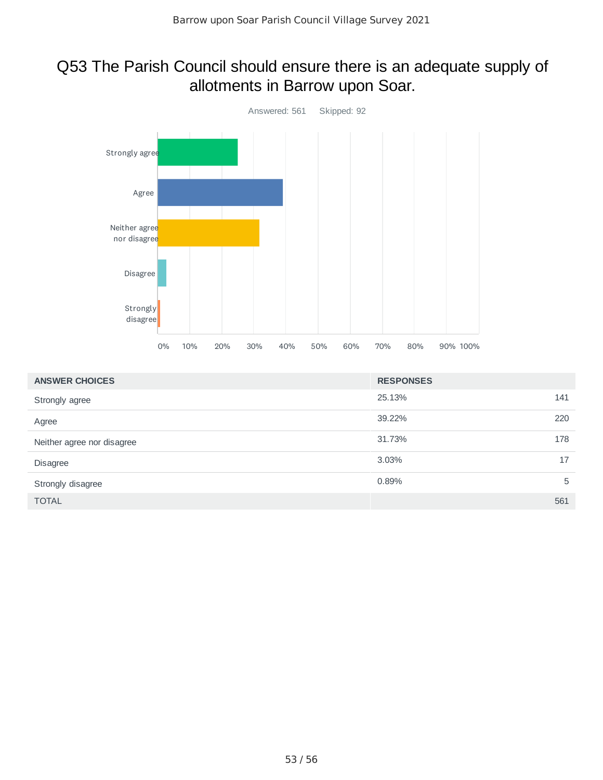### Q53 The Parish Council should ensure there is an adequate supply of allotments in Barrow upon Soar.



| <b>ANSWER CHOICES</b>      | <b>RESPONSES</b> |     |
|----------------------------|------------------|-----|
| Strongly agree             | 25.13%           | 141 |
| Agree                      | 39.22%           | 220 |
| Neither agree nor disagree | 31.73%           | 178 |
| <b>Disagree</b>            | 3.03%            | 17  |
| Strongly disagree          | 0.89%            | 5   |
| <b>TOTAL</b>               |                  | 561 |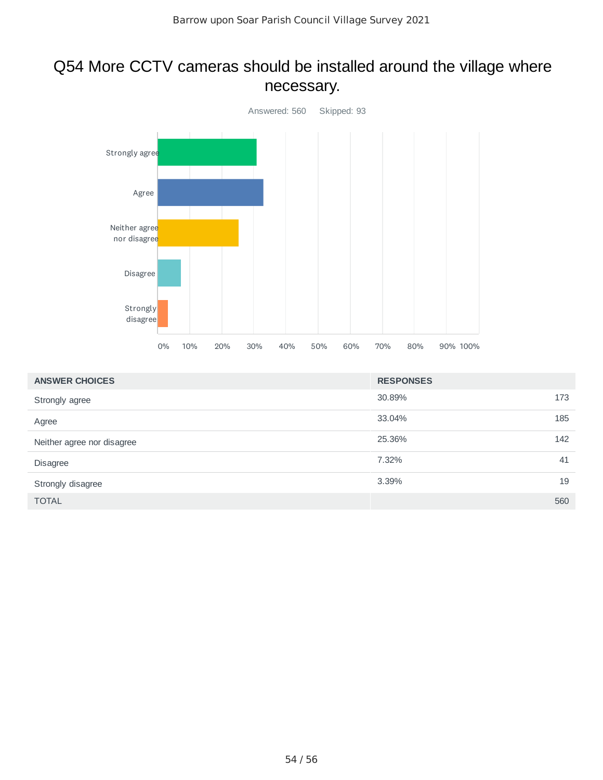# Q54 More CCTV cameras should be installed around the village where necessary.



| <b>ANSWER CHOICES</b>      | <b>RESPONSES</b> |     |
|----------------------------|------------------|-----|
| Strongly agree             | 30.89%           | 173 |
| Agree                      | 33.04%           | 185 |
| Neither agree nor disagree | 25.36%           | 142 |
| Disagree                   | 7.32%            | 41  |
| Strongly disagree          | 3.39%            | 19  |
| <b>TOTAL</b>               |                  | 560 |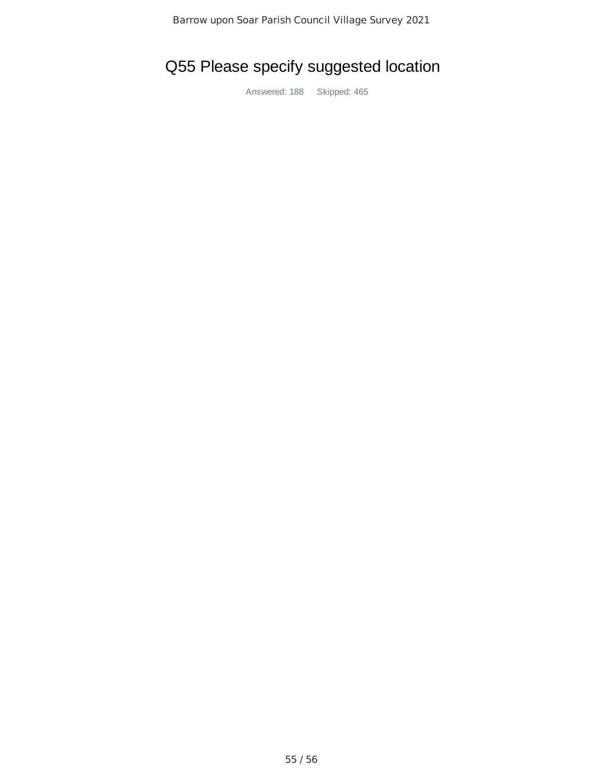# Q55 Please specify suggested location

Answered: 188 Skipped: 465